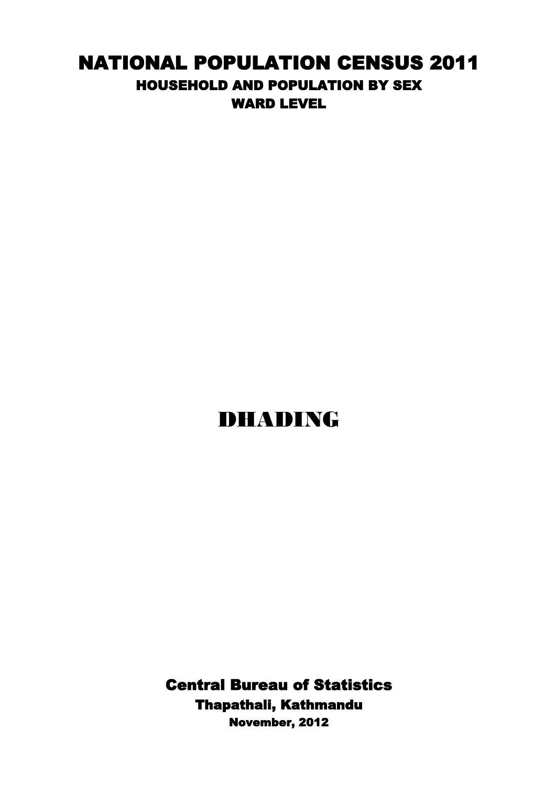## NATIONAL POPULATION CENSUS 2011 HOUSEHOLD AND POPULATION BY SEX WARD LEVEL

## DHADING

Central Bureau of Statistics Thapathali, Kathmandu November, 2012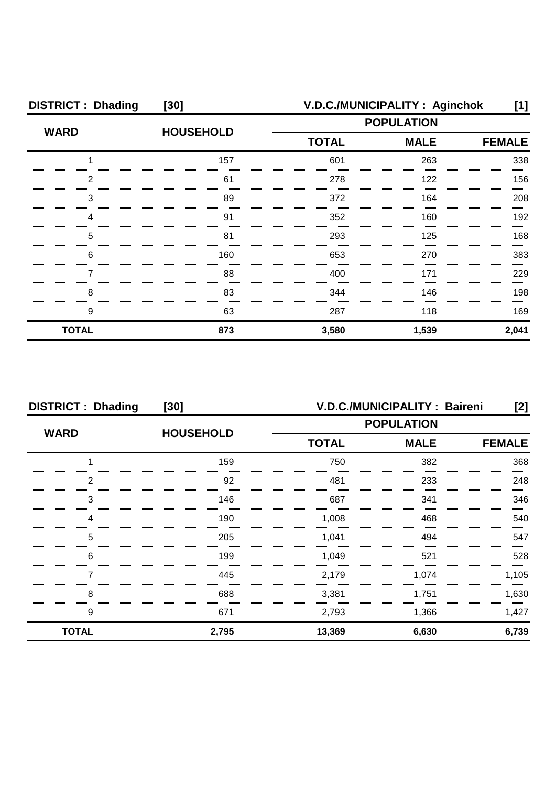| <b>DISTRICT: Dhading</b> | $[30]$           | V.D.C./MUNICIPALITY: Aginchok |             |               |
|--------------------------|------------------|-------------------------------|-------------|---------------|
| <b>WARD</b>              | <b>HOUSEHOLD</b> | <b>POPULATION</b>             |             |               |
|                          |                  | <b>TOTAL</b>                  | <b>MALE</b> | <b>FEMALE</b> |
|                          | 157              | 601                           | 263         | 338           |
| 2                        | 61               | 278                           | 122         | 156           |
| З                        | 89               | 372                           | 164         | 208           |
|                          | 91               | 352                           | 160         | 192           |
| 5                        | 81               | 293                           | 125         | 168           |
| 6                        | 160              | 653                           | 270         | 383           |
|                          | 88               | 400                           | 171         | 229           |
| 8                        | 83               | 344                           | 146         | 198           |
| 9                        | 63               | 287                           | 118         | 169           |
| <b>TOTAL</b>             | 873              | 3,580                         | 1,539       | 2,041         |

| <b>DISTRICT: Dhading</b> | $[30]$           |                   | V.D.C./MUNICIPALITY: Baireni | [2]           |
|--------------------------|------------------|-------------------|------------------------------|---------------|
| <b>WARD</b>              | <b>HOUSEHOLD</b> | <b>POPULATION</b> |                              |               |
|                          |                  | <b>TOTAL</b>      | <b>MALE</b>                  | <b>FEMALE</b> |
|                          | 159              | 750               | 382                          | 368           |
| 2                        | 92               | 481               | 233                          | 248           |
| 3                        | 146              | 687               | 341                          | 346           |
| Δ                        | 190              | 1.008             | 468                          | 540           |
| 5                        | 205              | 1,041             | 494                          | 547           |
| 6                        | 199              | 1.049             | 521                          | 528           |
|                          | 445              | 2,179             | 1,074                        | 1,105         |
| 8                        | 688              | 3,381             | 1,751                        | 1,630         |
| 9                        | 671              | 2,793             | 1,366                        | 1,427         |
| <b>TOTAL</b>             | 2,795            | 13,369            | 6,630                        | 6,739         |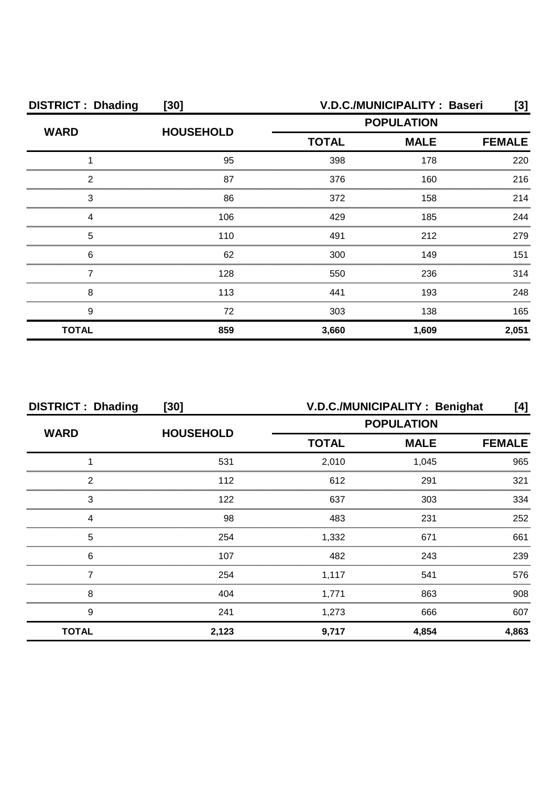| <b>DISTRICT: Dhading</b> | $[30]$           | V.D.C./MUNICIPALITY: Baseri                                                                                                                                                              |       |       |  |
|--------------------------|------------------|------------------------------------------------------------------------------------------------------------------------------------------------------------------------------------------|-------|-------|--|
| <b>WARD</b>              | <b>HOUSEHOLD</b> | [3]<br><b>POPULATION</b><br><b>MALE</b><br><b>TOTAL</b><br><b>FEMALE</b><br>398<br>178<br>160<br>376<br>372<br>158<br>429<br>185<br>491<br>212<br>149<br>300<br>236<br>550<br>441<br>193 |       |       |  |
|                          |                  |                                                                                                                                                                                          |       |       |  |
|                          | 95               |                                                                                                                                                                                          |       | 220   |  |
| 2                        | 87               |                                                                                                                                                                                          |       | 216   |  |
| 3                        | 86               |                                                                                                                                                                                          |       | 214   |  |
|                          | 106              |                                                                                                                                                                                          |       | 244   |  |
| 5                        | 110              |                                                                                                                                                                                          |       | 279   |  |
| 6                        | 62               |                                                                                                                                                                                          |       | 151   |  |
|                          | 128              |                                                                                                                                                                                          |       | 314   |  |
| 8                        | 113              |                                                                                                                                                                                          |       | 248   |  |
| 9                        | 72               | 303                                                                                                                                                                                      | 138   | 165   |  |
| <b>TOTAL</b>             | 859              | 3,660                                                                                                                                                                                    | 1,609 | 2,051 |  |

| <b>DISTRICT: Dhading</b><br>$[30]$ |                  | V.D.C./MUNICIPALITY: Benighat<br>[4] |             |               |
|------------------------------------|------------------|--------------------------------------|-------------|---------------|
|                                    |                  | <b>POPULATION</b>                    |             |               |
| <b>WARD</b>                        | <b>HOUSEHOLD</b> | <b>TOTAL</b>                         | <b>MALE</b> | <b>FEMALE</b> |
|                                    | 531              | 2,010                                | 1,045       | 965           |
| っ                                  | 112              | 612                                  | 291         | 321           |
| 3                                  | 122              | 637                                  | 303         | 334           |
|                                    | 98               | 483                                  | 231         | 252           |
| 5                                  | 254              | 1,332                                | 671         | 661           |
| 6                                  | 107              | 482                                  | 243         | 239           |
|                                    | 254              | 1,117                                | 541         | 576           |
| 8                                  | 404              | 1,771                                | 863         | 908           |
| 9                                  | 241              | 1,273                                | 666         | 607           |
| <b>TOTAL</b>                       | 2,123            | 9,717                                | 4,854       | 4,863         |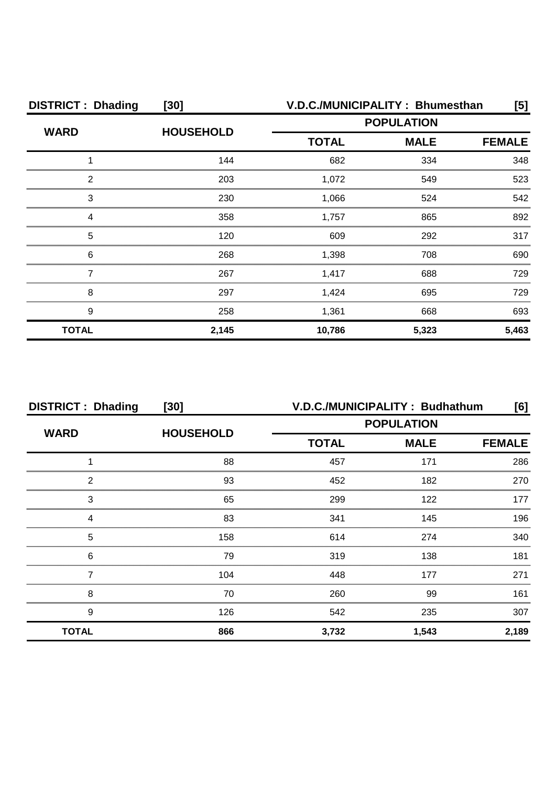| <b>DISTRICT: Dhading</b> | $[30]$           | V.D.C./MUNICIPALITY: Bhumesthan |       |               |  |
|--------------------------|------------------|---------------------------------|-------|---------------|--|
| <b>WARD</b>              | <b>HOUSEHOLD</b> | <b>POPULATION</b>               |       |               |  |
|                          |                  | <b>TOTAL</b><br><b>MALE</b>     |       | <b>FEMALE</b> |  |
|                          | 144              | 682                             | 334   | 348           |  |
| റ                        | 203              | 1,072                           | 549   | 523           |  |
| 3                        | 230              | 1.066                           | 524   | 542           |  |
|                          | 358              | 1,757                           | 865   | 892           |  |
| 5                        | 120              | 609                             | 292   | 317           |  |
| 6                        | 268              | 1,398                           | 708   | 690           |  |
|                          | 267              | 1,417                           | 688   | 729           |  |
| 8                        | 297              | 1,424                           | 695   | 729           |  |
| 9                        | 258              | 1,361                           | 668   | 693           |  |
| <b>TOTAL</b>             | 2,145            | 10,786                          | 5,323 | 5,463         |  |

| <b>DISTRICT: Dhading</b> | $[30]$           |                   | V.D.C./MUNICIPALITY: Budhathum | [6]           |
|--------------------------|------------------|-------------------|--------------------------------|---------------|
| <b>WARD</b>              | <b>HOUSEHOLD</b> | <b>POPULATION</b> |                                |               |
|                          |                  | <b>TOTAL</b>      | <b>MALE</b>                    | <b>FEMALE</b> |
|                          | 88               | 457               | 171                            | 286           |
| 2                        | 93               | 452               | 182                            | 270           |
| 3                        | 65               | 299               | 122                            | 177           |
| Δ                        | 83               | 341               | 145                            | 196           |
| 5                        | 158              | 614               | 274                            | 340           |
| 6                        | 79               | 319               | 138                            | 181           |
|                          | 104              | 448               | 177                            | 271           |
| 8                        | 70               | 260               | 99                             | 161           |
| 9                        | 126              | 542               | 235                            | 307           |
| <b>TOTAL</b>             | 866              | 3,732             | 1,543                          | 2,189         |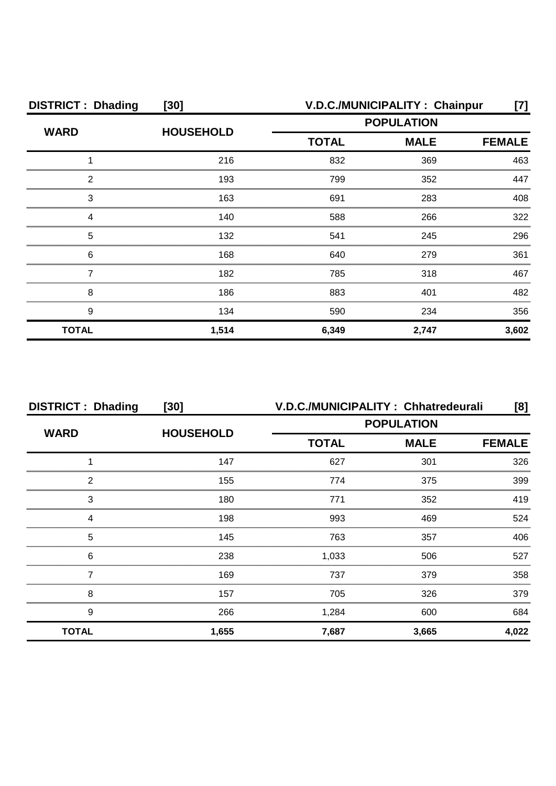| <b>DISTRICT: Dhading</b> | $[30]$           | V.D.C./MUNICIPALITY: Chainpur |             |               |
|--------------------------|------------------|-------------------------------|-------------|---------------|
| <b>WARD</b>              | <b>HOUSEHOLD</b> | <b>POPULATION</b>             |             |               |
|                          |                  | <b>TOTAL</b>                  | <b>MALE</b> | <b>FEMALE</b> |
|                          | 216              | 832                           | 369         | 463           |
| 2                        | 193              | 799                           | 352         | 447           |
| 3                        | 163              | 691                           | 283         | 408           |
|                          | 140              | 588                           | 266         | 322           |
| 5                        | 132              | 541                           | 245         | 296           |
| 6                        | 168              | 640                           | 279         | 361           |
|                          | 182              | 785                           | 318         | 467           |
| 8                        | 186              | 883                           | 401         | 482           |
| 9                        | 134              | 590                           | 234         | 356           |
| <b>TOTAL</b>             | 1,514            | 6,349                         | 2,747       | 3,602         |

| <b>DISTRICT: Dhading</b> | $[30]$           | V.D.C./MUNICIPALITY: Chhatredeurali          |       |       |  |
|--------------------------|------------------|----------------------------------------------|-------|-------|--|
| <b>WARD</b>              | <b>HOUSEHOLD</b> | <b>POPULATION</b>                            |       |       |  |
|                          |                  | <b>TOTAL</b><br><b>MALE</b><br><b>FEMALE</b> |       |       |  |
|                          | 147              | 627                                          | 301   | 326   |  |
| 2                        | 155              | 774                                          | 375   | 399   |  |
| 3                        | 180              | 771                                          | 352   | 419   |  |
|                          | 198              | 993                                          | 469   | 524   |  |
| 5                        | 145              | 763                                          | 357   | 406   |  |
| 6                        | 238              | 1,033                                        | 506   | 527   |  |
|                          | 169              | 737                                          | 379   | 358   |  |
| 8                        | 157              | 705                                          | 326   | 379   |  |
| 9                        | 266              | 1,284                                        | 600   | 684   |  |
| <b>TOTAL</b>             | 1,655            | 7,687                                        | 3,665 | 4,022 |  |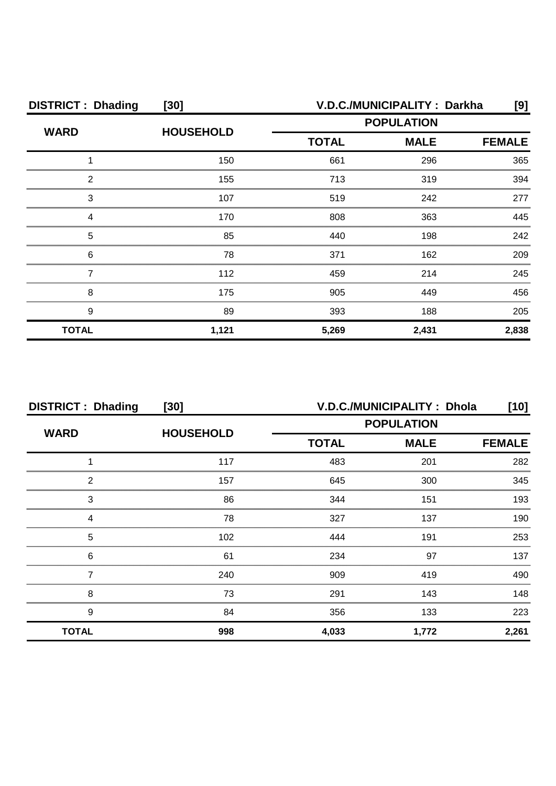| <b>DISTRICT: Dhading</b> | $[30]$           |                   | V.D.C./MUNICIPALITY: Darkha | [9]   |
|--------------------------|------------------|-------------------|-----------------------------|-------|
| <b>WARD</b>              | <b>HOUSEHOLD</b> | <b>POPULATION</b> |                             |       |
|                          |                  | <b>TOTAL</b>      | <b>FEMALE</b>               |       |
|                          | 150              | 661               | 296                         | 365   |
| 2                        | 155              | 713               | 319                         | 394   |
| 3                        | 107              | 519               | 242                         | 277   |
|                          | 170              | 808               | 363                         | 445   |
| 5                        | 85               | 440               | 198                         | 242   |
| 6                        | 78               | 371               | 162                         | 209   |
|                          | 112              | 459               | 214                         | 245   |
| 8                        | 175              | 905               | 449                         | 456   |
| 9                        | 89               | 393               | 188                         | 205   |
| <b>TOTAL</b>             | 1,121            | 5,269             | 2,431                       | 2,838 |

| <b>DISTRICT: Dhading</b> | $[30]$           |                   | V.D.C./MUNICIPALITY: Dhola | $[10]$        |
|--------------------------|------------------|-------------------|----------------------------|---------------|
| <b>WARD</b>              | <b>HOUSEHOLD</b> | <b>POPULATION</b> |                            |               |
|                          |                  | <b>TOTAL</b>      | <b>MALE</b>                | <b>FEMALE</b> |
|                          | 117              | 483               | 201                        | 282           |
| 2                        | 157              | 645               | 300                        | 345           |
| 3                        | 86               | 344               | 151                        | 193           |
|                          | 78               | 327               | 137                        | 190           |
| 5                        | 102              | 444               | 191                        | 253           |
| 6                        | 61               | 234               | 97                         | 137           |
|                          | 240              | 909               | 419                        | 490           |
| 8                        | 73               | 291               | 143                        | 148           |
| 9                        | 84               | 356               | 133                        | 223           |
| <b>TOTAL</b>             | 998              | 4,033             | 1,772                      | 2,261         |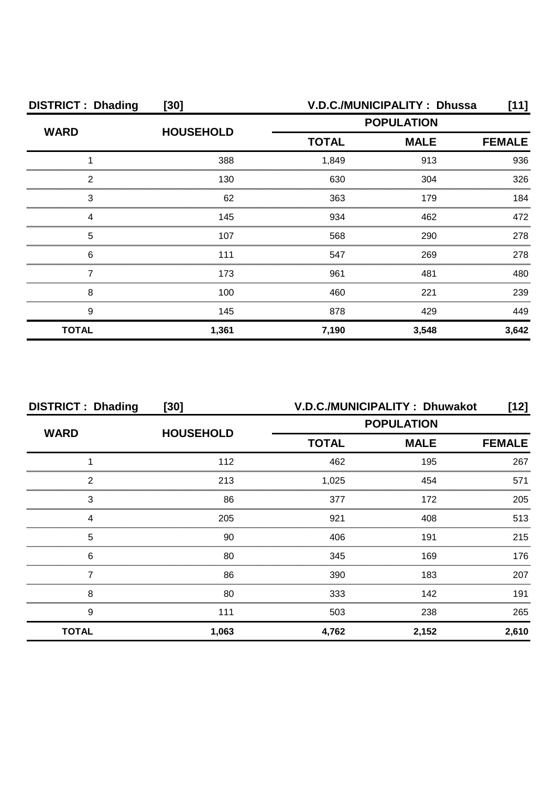| <b>DISTRICT: Dhading</b> | $[30]$           | V.D.C./MUNICIPALITY: Dhussa |             |               |
|--------------------------|------------------|-----------------------------|-------------|---------------|
| <b>WARD</b>              | <b>HOUSEHOLD</b> | <b>POPULATION</b>           |             |               |
|                          |                  | <b>TOTAL</b>                | <b>MALE</b> | <b>FEMALE</b> |
|                          | 388              | 1,849                       | 913         | 936           |
| 2                        | 130              | 630                         | 304         | 326           |
| 3                        | 62               | 363                         | 179         | 184           |
|                          | 145              | 934                         | 462         | 472           |
| 5                        | 107              | 568                         | 290         | 278           |
| 6                        | 111              | 547                         | 269         | 278           |
|                          | 173              | 961                         | 481         | 480           |
| 8                        | 100              | 460                         | 221         | 239           |
| 9                        | 145              | 878                         | 429         | 449           |
| <b>TOTAL</b>             | 1,361            | 7,190                       | 3,548       | 3,642         |

| <b>DISTRICT: Dhading</b> | $[30]$           |              | V.D.C./MUNICIPALITY: Dhuwakot | [12]  |
|--------------------------|------------------|--------------|-------------------------------|-------|
| <b>WARD</b>              | <b>HOUSEHOLD</b> |              | <b>POPULATION</b>             |       |
|                          |                  | <b>TOTAL</b> | <b>FEMALE</b>                 |       |
|                          | 112              | 462          | 195                           | 267   |
| 2                        | 213              | 1,025        | 454                           | 571   |
| 3                        | 86               | 377          | 172                           | 205   |
|                          | 205              | 921          | 408                           | 513   |
| 5                        | 90               | 406          | 191                           | 215   |
| 6                        | 80               | 345          | 169                           | 176   |
|                          | 86               | 390          | 183                           | 207   |
| 8                        | 80               | 333          | 142                           | 191   |
| 9                        | 111              | 503          | 238                           | 265   |
| <b>TOTAL</b>             | 1,063            | 4,762        | 2,152                         | 2,610 |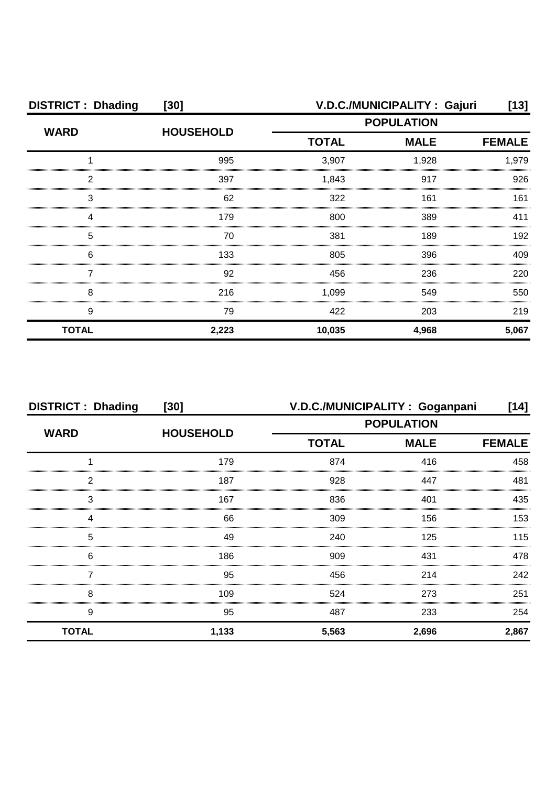| <b>DISTRICT: Dhading</b> | $[30]$           | V.D.C./MUNICIPALITY: Gajuri |                              |       |
|--------------------------|------------------|-----------------------------|------------------------------|-------|
| <b>WARD</b>              | <b>HOUSEHOLD</b> | <b>POPULATION</b>           |                              |       |
|                          |                  | <b>TOTAL</b>                | <b>MALE</b><br><b>FEMALE</b> |       |
|                          | 995              | 3,907                       | 1,928                        | 1,979 |
| 2                        | 397              | 1,843                       | 917                          | 926   |
| 3                        | 62               | 322                         | 161                          | 161   |
| Δ                        | 179              | 800                         | 389                          | 411   |
| 5                        | 70               | 381                         | 189                          | 192   |
| 6                        | 133              | 805                         | 396                          | 409   |
|                          | 92               | 456                         | 236                          | 220   |
| 8                        | 216              | 1,099                       | 549                          | 550   |
| 9                        | 79               | 422                         | 203                          | 219   |
| <b>TOTAL</b>             | 2,223            | 10,035                      | 4,968                        | 5,067 |

| <b>DISTRICT: Dhading</b> | $[30]$           | V.D.C./MUNICIPALITY: Goganpani |             | [14]          |
|--------------------------|------------------|--------------------------------|-------------|---------------|
|                          |                  | <b>POPULATION</b>              |             |               |
| <b>WARD</b>              | <b>HOUSEHOLD</b> | <b>TOTAL</b>                   | <b>MALE</b> | <b>FEMALE</b> |
|                          | 179              | 874                            | 416         | 458           |
| っ                        | 187              | 928                            | 447         | 481           |
| 3                        | 167              | 836                            | 401         | 435           |
|                          | 66               | 309                            | 156         | 153           |
| 5                        | 49               | 240                            | 125         | 115           |
| 6                        | 186              | 909                            | 431         | 478           |
|                          | 95               | 456                            | 214         | 242           |
| 8                        | 109              | 524                            | 273         | 251           |
| 9                        | 95               | 487                            | 233         | 254           |
| <b>TOTAL</b>             | 1,133            | 5,563                          | 2,696       | 2,867         |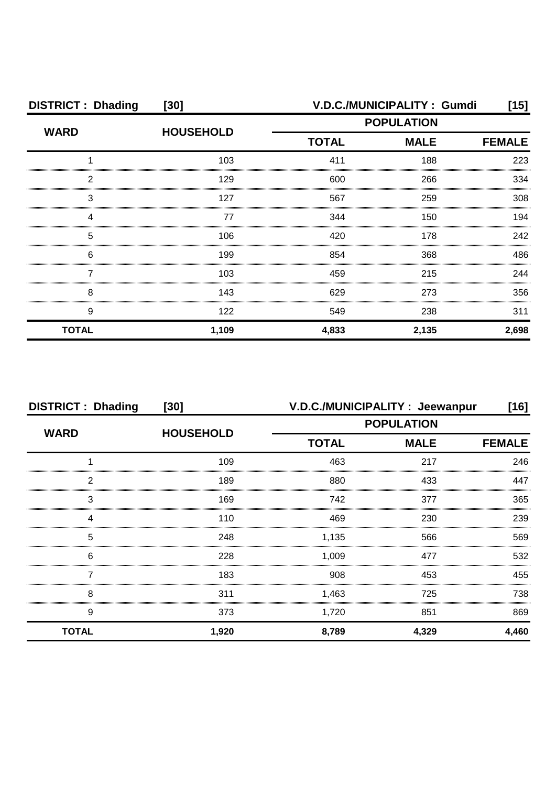| <b>DISTRICT: Dhading</b> | $[30]$           |                   | V.D.C./MUNICIPALITY: Gumdi   | [15]  |  |
|--------------------------|------------------|-------------------|------------------------------|-------|--|
| <b>WARD</b>              | <b>HOUSEHOLD</b> | <b>POPULATION</b> |                              |       |  |
|                          |                  | <b>TOTAL</b>      | <b>MALE</b><br><b>FEMALE</b> |       |  |
|                          | 103              | 411               | 188                          | 223   |  |
| 2                        | 129              | 600               | 266                          | 334   |  |
| 3                        | 127              | 567               | 259                          | 308   |  |
|                          | 77               | 344               | 150                          | 194   |  |
| 5                        | 106              | 420               | 178                          | 242   |  |
| 6                        | 199              | 854               | 368                          | 486   |  |
|                          | 103              | 459               | 215                          | 244   |  |
| 8                        | 143              | 629               | 273                          | 356   |  |
| 9                        | 122              | 549               | 238                          | 311   |  |
| <b>TOTAL</b>             | 1,109            | 4,833             | 2,135                        | 2,698 |  |

| <b>DISTRICT: Dhading</b> | [30]             |                   | V.D.C./MUNICIPALITY : Jeewanpur | [16]          |
|--------------------------|------------------|-------------------|---------------------------------|---------------|
| <b>WARD</b>              | <b>HOUSEHOLD</b> | <b>POPULATION</b> |                                 |               |
|                          |                  | <b>TOTAL</b>      | <b>MALE</b>                     | <b>FEMALE</b> |
|                          | 109              | 463               | 217                             | 246           |
| っ                        | 189              | 880               | 433                             | 447           |
| 3                        | 169              | 742               | 377                             | 365           |
|                          | 110              | 469               | 230                             | 239           |
| 5                        | 248              | 1,135             | 566                             | 569           |
| 6                        | 228              | 1,009             | 477                             | 532           |
|                          | 183              | 908               | 453                             | 455           |
| 8                        | 311              | 1,463             | 725                             | 738           |
| 9                        | 373              | 1,720             | 851                             | 869           |
| <b>TOTAL</b>             | 1,920            | 8,789             | 4,329                           | 4,460         |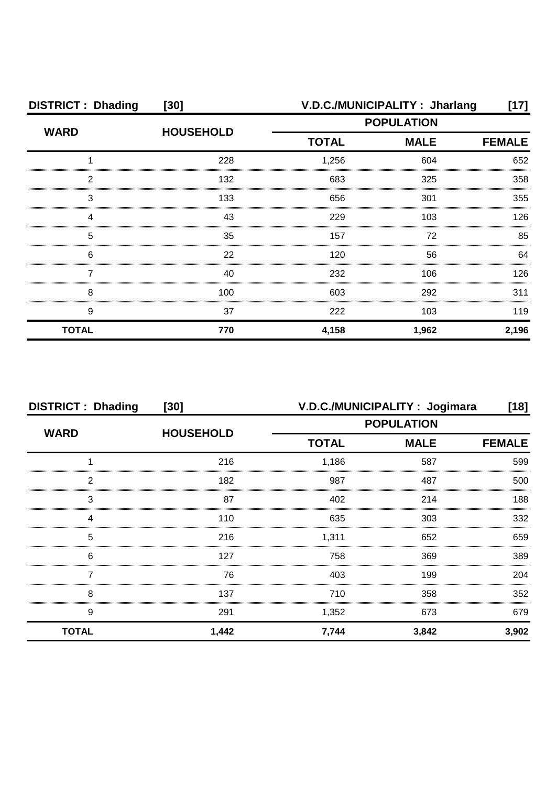| <b>DISTRICT: Dhading</b> | $[30]$           |                   | V.D.C./MUNICIPALITY: Jharlang | [17]  |
|--------------------------|------------------|-------------------|-------------------------------|-------|
| <b>WARD</b>              | <b>HOUSEHOLD</b> | <b>POPULATION</b> |                               |       |
|                          |                  | <b>TOTAL</b>      | <b>FEMALE</b>                 |       |
|                          | 228              | 1,256             | 604                           | 652   |
| ႒                        | 132              | 683               | 325                           | 358   |
| 3                        | 133              | 656               | 301                           | 355   |
|                          | 43               | 229               | 103                           | 126   |
| 5                        | 35               | 157               | 72                            | 85    |
| 6                        | 22               | 120               | 56                            | 64    |
|                          | 40               | 232               | 106                           | 126   |
| 8                        | 100.             | 603               | 292                           | 311   |
| 9                        | 37               | 222               | 103                           | 119   |
| <b>TOTAL</b>             | 770              | 4,158             | 1,962                         | 2,196 |

| <b>DISTRICT: Dhading</b> | $[30]$           |                   | V.D.C./MUNICIPALITY: Jogimara | [18]          |
|--------------------------|------------------|-------------------|-------------------------------|---------------|
| <b>WARD</b>              | <b>HOUSEHOLD</b> | <b>POPULATION</b> |                               |               |
|                          |                  | <b>TOTAL</b>      | <b>MALE</b>                   | <b>FEMALE</b> |
|                          | 216              | 1,186             | 587                           | 599           |
| 2                        | 182              | 987               | 487                           | 500           |
| 3                        | 87               | 402               | 214                           | 188           |
|                          | 110              | 635               | 303                           | 332           |
| 5                        | 216              | 1,311             | 652                           | 659           |
| 6                        | 127              | 758               | 369                           | 389           |
|                          | 76               | 403               | 199                           | 204           |
| 8                        | 137              | 710               | 358                           | 352           |
| 9                        | 291              | 1,352             | 673                           | 679           |
| <b>TOTAL</b>             | 1,442            | 7,744             | 3,842                         | 3,902         |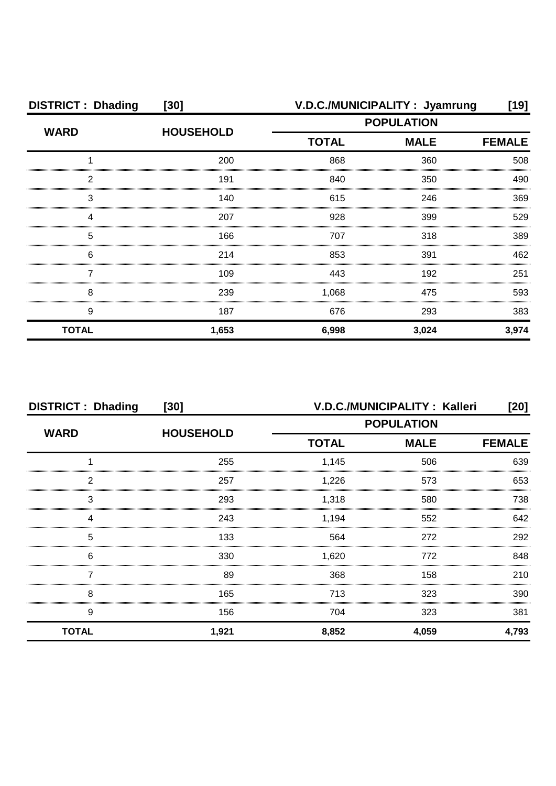| <b>DISTRICT: Dhading</b> | $[30]$           |                   | V.D.C./MUNICIPALITY: Jyamrung | [19]          |
|--------------------------|------------------|-------------------|-------------------------------|---------------|
| <b>WARD</b>              | <b>HOUSEHOLD</b> | <b>POPULATION</b> |                               |               |
|                          |                  | <b>TOTAL</b>      | <b>MALE</b>                   | <b>FEMALE</b> |
|                          | 200              | 868               | 360                           | 508           |
| 2                        | 191              | 840               | 350                           | 490           |
| 3                        | 140              | 615               | 246                           | 369           |
|                          | 207              | 928               | 399                           | 529           |
| 5                        | 166              | 707               | 318                           | 389           |
| 6                        | 214              | 853               | 391                           | 462           |
|                          | 109              | 443               | 192                           | 251           |
| 8                        | 239              | 1,068             | 475                           | 593           |
| 9                        | 187              | 676               | 293                           | 383           |
| <b>TOTAL</b>             | 1,653            | 6,998             | 3,024                         | 3,974         |

| <b>DISTRICT: Dhading</b> | [30]             |                   | V.D.C./MUNICIPALITY: Kalleri | [20]          |
|--------------------------|------------------|-------------------|------------------------------|---------------|
| <b>WARD</b>              | <b>HOUSEHOLD</b> | <b>POPULATION</b> |                              |               |
|                          |                  | <b>TOTAL</b>      | <b>MALE</b>                  | <b>FEMALE</b> |
|                          | 255              | 1,145             | 506                          | 639           |
| 2                        | 257              | 1,226             | 573                          | 653           |
| 3                        | 293              | 1,318             | 580                          | 738           |
|                          | 243              | 1,194             | 552                          | 642           |
| 5                        | 133              | 564               | 272                          | 292           |
| 6                        | 330              | 1,620             | 772                          | 848           |
|                          | 89               | 368               | 158                          | 210           |
| 8                        | 165              | 713               | 323                          | 390           |
| 9                        | 156              | 704               | 323                          | 381           |
| <b>TOTAL</b>             | 1,921            | 8,852             | 4,059                        | 4,793         |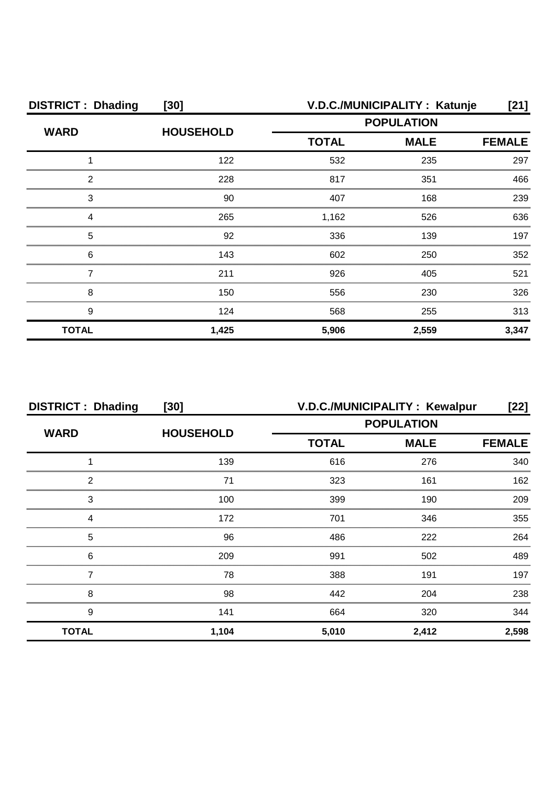| <b>DISTRICT: Dhading</b> | $[30]$           | V.D.C./MUNICIPALITY: Katunje<br>[21] |             |               |
|--------------------------|------------------|--------------------------------------|-------------|---------------|
| <b>WARD</b>              | <b>HOUSEHOLD</b> | <b>POPULATION</b>                    |             |               |
|                          |                  | <b>TOTAL</b>                         | <b>MALE</b> | <b>FEMALE</b> |
|                          | 122              | 532                                  | 235         | 297           |
| っ                        | 228              | 817                                  | 351         | 466           |
| 3                        | 90               | 407                                  | 168         | 239           |
|                          | 265              | 1,162                                | 526         | 636           |
| 5                        | 92               | 336                                  | 139         | 197           |
| 6                        | 143              | 602                                  | 250         | 352           |
|                          | 211              | 926                                  | 405         | 521           |
| 8                        | 150              | 556                                  | 230         | 326           |
| 9                        | 124              | 568                                  | 255         | 313           |
| <b>TOTAL</b>             | 1,425            | 5,906                                | 2,559       | 3,347         |

| <b>DISTRICT: Dhading</b> | $[30]$           |              | V.D.C./MUNICIPALITY : Kewalpur | [22]          |
|--------------------------|------------------|--------------|--------------------------------|---------------|
| <b>WARD</b>              | <b>HOUSEHOLD</b> |              | <b>POPULATION</b>              |               |
|                          |                  | <b>TOTAL</b> | <b>MALE</b>                    | <b>FEMALE</b> |
|                          | 139              | 616          | 276                            | 340           |
| 2                        | 71               | 323          | 161                            | 162           |
| 3                        | 100              | 399          | 190                            | 209           |
| Δ                        | 172              | 701          | 346                            | 355           |
| 5                        | 96               | 486          | 222                            | 264           |
| 6                        | 209              | 991          | 502                            | 489           |
|                          | 78               | 388          | 191                            | 197           |
| 8                        | 98               | 442          | 204                            | 238           |
| 9                        | 141              | 664          | 320                            | 344           |
| <b>TOTAL</b>             | 1,104            | 5,010        | 2,412                          | 2,598         |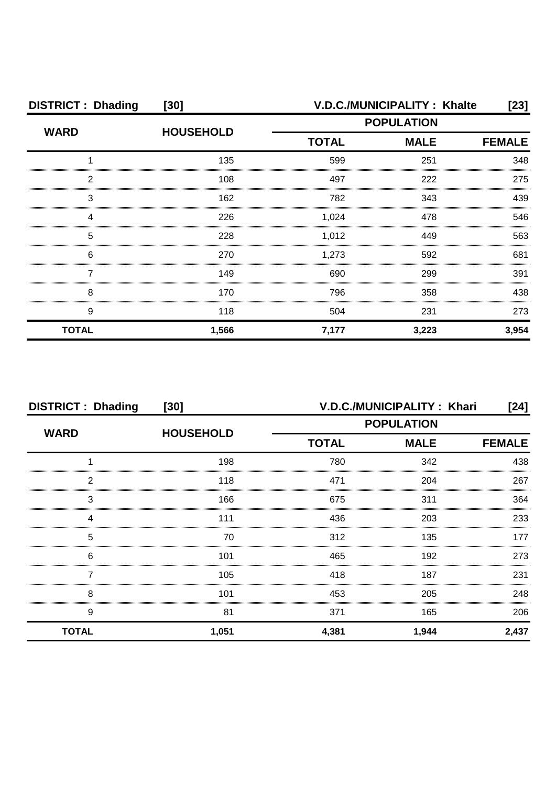| <b>DISTRICT: Dhading</b> | $[30]$           | V.D.C./MUNICIPALITY: Khalte<br>[23] |               |       |
|--------------------------|------------------|-------------------------------------|---------------|-------|
| <b>WARD</b>              | <b>HOUSEHOLD</b> | <b>POPULATION</b>                   |               |       |
|                          |                  | <b>TOTAL</b>                        | <b>FEMALE</b> |       |
|                          | 135              | 599                                 | 251           | 348   |
| っ                        | 108              | 497                                 | 222           | 275   |
| 3                        | 162              | 782                                 | 343           | 439   |
|                          | 226              | 1,024                               | 478           | 546   |
| 5                        | 228              | 1,012                               | 449           | 563   |
| 6                        | 270              | 1,273                               | 592           | 681   |
|                          | 149              | 690                                 | 299           | 391   |
| 8                        | 170              | 796                                 | 358           | 438   |
| 9                        | 118              | 504                                 | 231           | 273   |
| <b>TOTAL</b>             | 1,566            | 7,177                               | 3,223         | 3,954 |

| <b>DISTRICT: Dhading</b> | $[30]$           |                   | V.D.C./MUNICIPALITY: Khari | [24]          |  |
|--------------------------|------------------|-------------------|----------------------------|---------------|--|
| <b>WARD</b>              | <b>HOUSEHOLD</b> | <b>POPULATION</b> |                            |               |  |
|                          |                  | <b>TOTAL</b>      | <b>MALE</b>                | <b>FEMALE</b> |  |
|                          | 198              | 780               | 342                        | 438           |  |
| 2                        | 118              | 471               | 204                        | 267           |  |
| 3                        | 166              | 675               | 311                        | 364           |  |
|                          | 111              | 436               | 203                        | 233           |  |
| 5                        | 70               | 312               | 135                        | 177           |  |
| 6                        | 101              | 465               | 192                        | 273           |  |
|                          | 105              | 418               | 187                        | 231           |  |
| 8                        | 101              | 453               | 205                        | 248           |  |
| 9                        | 81               | 371               | 165                        | 206           |  |
| <b>TOTAL</b>             | 1,051            | 4,381             | 1,944                      | 2,437         |  |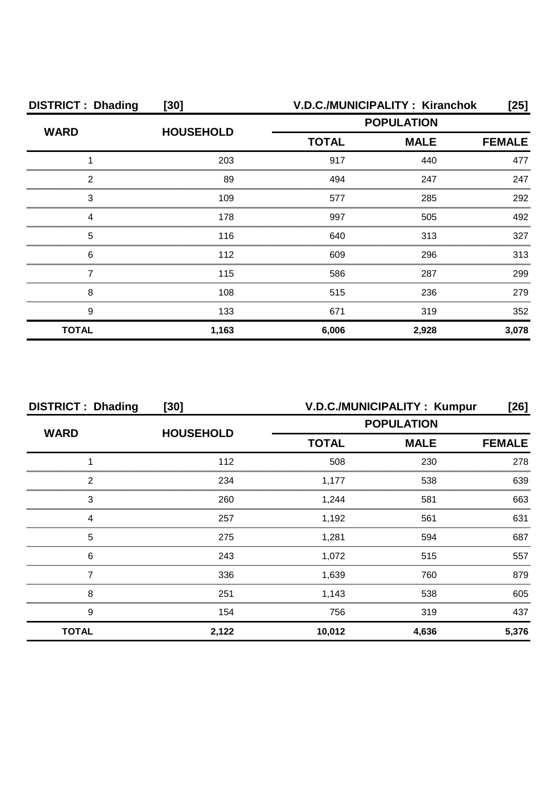| <b>DISTRICT: Dhading</b> | $[30]$           | <b>V.D.C./MUNICIPALITY: Kiranchok</b> |             |               |
|--------------------------|------------------|---------------------------------------|-------------|---------------|
| <b>WARD</b>              | <b>HOUSEHOLD</b> | <b>POPULATION</b>                     |             |               |
|                          |                  | <b>TOTAL</b>                          | <b>MALE</b> | <b>FEMALE</b> |
|                          | 203              | 917                                   | 440         | 477           |
| 2                        | 89               | 494                                   | 247         | 247           |
| 3                        | 109              | 577                                   | 285         | 292           |
|                          | 178              | 997                                   | 505         | 492           |
| 5                        | 116              | 640                                   | 313         | 327           |
| 6                        | 112              | 609                                   | 296         | 313           |
|                          | 115              | 586                                   | 287         | 299           |
| 8                        | 108              | 515                                   | 236         | 279           |
| 9                        | 133              | 671                                   | 319         | 352           |
| <b>TOTAL</b>             | 1,163            | 6,006                                 | 2,928       | 3,078         |

| <b>DISTRICT: Dhading</b> | $[30]$           | V.D.C./MUNICIPALITY: Kumpur<br>[26] |             |               |
|--------------------------|------------------|-------------------------------------|-------------|---------------|
| <b>WARD</b>              | <b>HOUSEHOLD</b> | <b>POPULATION</b>                   |             |               |
|                          |                  | <b>TOTAL</b>                        | <b>MALE</b> | <b>FEMALE</b> |
|                          | 112              | 508                                 | 230         | 278           |
| っ                        | 234              | 1.177                               | 538         | 639           |
| 3                        | 260              | 1.244                               | 581         | 663           |
|                          | 257              | 1,192                               | 561         | 631           |
| 5                        | 275              | 1,281                               | 594         | 687           |
| 6                        | 243              | 1,072                               | 515         | 557           |
|                          | 336              | 1,639                               | 760         | 879           |
| 8                        | 251              | 1,143                               | 538         | 605           |
| 9                        | 154              | 756                                 | 319         | 437           |
| <b>TOTAL</b>             | 2,122            | 10,012                              | 4,636       | 5,376         |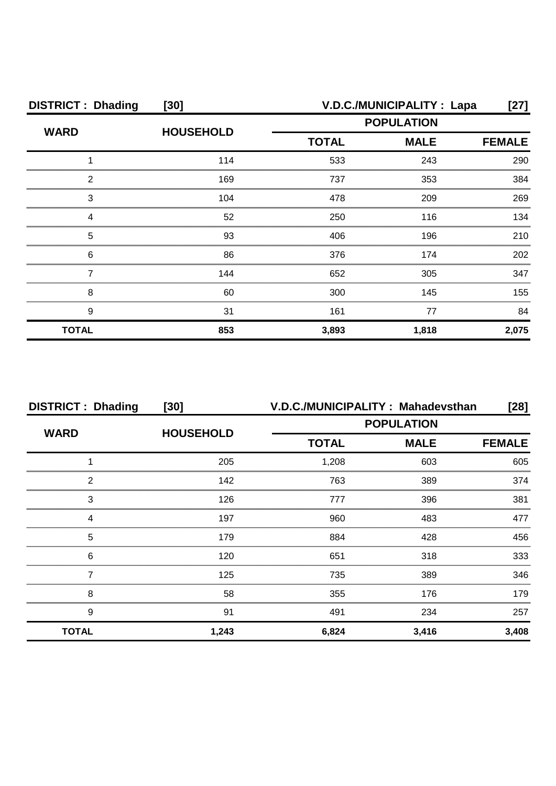| <b>DISTRICT: Dhading</b> | $[30]$           | V.D.C./MUNICIPALITY : Lapa<br>$[27]$ |             |               |
|--------------------------|------------------|--------------------------------------|-------------|---------------|
| <b>WARD</b>              | <b>HOUSEHOLD</b> | <b>POPULATION</b>                    |             |               |
|                          |                  | <b>TOTAL</b>                         | <b>MALE</b> | <b>FEMALE</b> |
|                          | 114              | 533                                  | 243         | 290           |
| າ                        | 169              | 737                                  | 353         | 384           |
| 3                        | 104              | 478                                  | 209         | 269           |
|                          | 52               | 250                                  | 116         | 134           |
| 5                        | 93               | 406                                  | 196         | 210           |
| 6                        | 86               | 376                                  | 174         | 202           |
|                          | 144              | 652                                  | 305         | 347           |
| 8                        | 60               | 300                                  | 145         | 155           |
| 9                        | 31               | 161                                  | 77          | 84            |
| <b>TOTAL</b>             | 853              | 3,893                                | 1,818       | 2,075         |

| <b>DISTRICT: Dhading</b> | $[30]$           |                   | V.D.C./MUNICIPALITY: Mahadevsthan | $[28]$        |
|--------------------------|------------------|-------------------|-----------------------------------|---------------|
| <b>WARD</b>              |                  | <b>POPULATION</b> |                                   |               |
|                          | <b>HOUSEHOLD</b> | <b>TOTAL</b>      | <b>MALE</b>                       | <b>FEMALE</b> |
|                          | 205              | 1,208             | 603                               | 605           |
| っ                        | 142              | 763               | 389                               | 374           |
| 3                        | 126              | 777               | 396                               | 381           |
|                          | 197              | 960               | 483                               | 477           |
| 5                        | 179              | 884               | 428                               | 456           |
| 6                        | 120              | 651               | 318                               | 333           |
|                          | 125              | 735               | 389                               | 346           |
| 8                        | 58               | 355               | 176                               | 179           |
| 9                        | 91               | 491               | 234                               | 257           |
| <b>TOTAL</b>             | 1,243            | 6,824             | 3,416                             | 3,408         |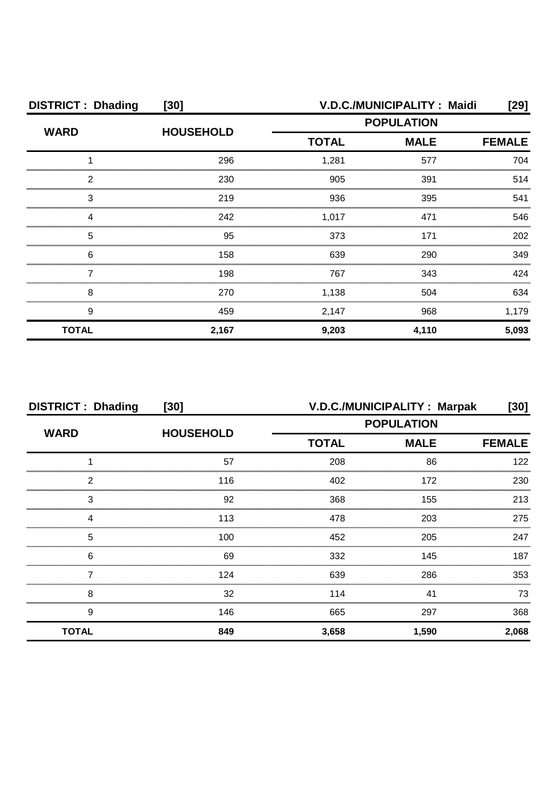| <b>DISTRICT: Dhading</b> | $[30]$           | V.D.C./MUNICIPALITY: Maidi |                                                        |               |  |
|--------------------------|------------------|----------------------------|--------------------------------------------------------|---------------|--|
| <b>WARD</b>              | <b>HOUSEHOLD</b> |                            | [29]<br><b>POPULATION</b><br><b>MALE</b><br>577<br>391 |               |  |
|                          |                  | <b>TOTAL</b>               |                                                        | <b>FEMALE</b> |  |
|                          | 296              | 1,281                      |                                                        | 704           |  |
| ົ                        | 230              | 905                        |                                                        | 514           |  |
| 3                        | 219              | 936                        | 395                                                    | 541           |  |
|                          | 242              | 1,017                      | 471                                                    | 546           |  |
| 5                        | 95               | 373                        | 171                                                    | 202           |  |
| 6                        | 158              | 639                        | 290                                                    | 349           |  |
|                          | 198              | 767                        | 343                                                    | 424           |  |
| 8                        | 270              | 1,138                      | 504                                                    | 634           |  |
| 9                        | 459              | 2,147                      | 968                                                    | 1,179         |  |
| <b>TOTAL</b>             | 2,167            | 9,203                      | 4,110                                                  | 5,093         |  |

| <b>DISTRICT: Dhading</b> | $[30]$           | V.D.C./MUNICIPALITY: Marpak<br>[30] |             |               |
|--------------------------|------------------|-------------------------------------|-------------|---------------|
| <b>WARD</b>              | <b>HOUSEHOLD</b> | <b>POPULATION</b>                   |             |               |
|                          |                  | <b>TOTAL</b>                        | <b>MALE</b> | <b>FEMALE</b> |
|                          | 57               | 208                                 | 86          | 122           |
| 2                        | 116              | 402                                 | 172         | 230           |
| 3                        | 92               | 368                                 | 155         | 213           |
| 4                        | 113              | 478                                 | 203         | 275           |
| 5                        | 100              | 452                                 | 205         | 247           |
| 6                        | 69               | 332                                 | 145         | 187           |
|                          | 124              | 639                                 | 286         | 353           |
| 8                        | 32               | 114                                 | 41          | 73            |
| 9                        | 146              | 665                                 | 297         | 368           |
| <b>TOTAL</b>             | 849              | 3,658                               | 1,590       | 2,068         |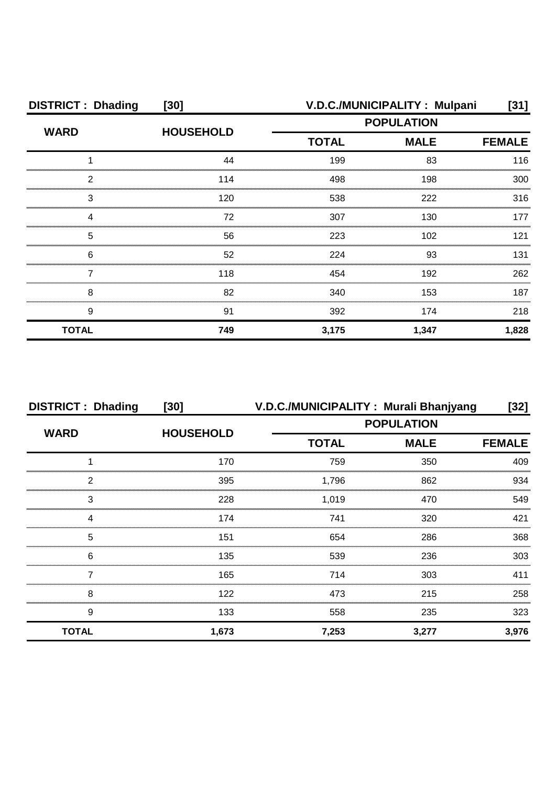| <b>DISTRICT: Dhading</b> | $[30]$           | V.D.C./MUNICIPALITY: Mulpani |             |               |  |
|--------------------------|------------------|------------------------------|-------------|---------------|--|
| <b>WARD</b>              | <b>HOUSEHOLD</b> | <b>POPULATION</b>            |             |               |  |
|                          |                  | <b>TOTAL</b>                 | <b>MALE</b> | <b>FEMALE</b> |  |
|                          | 44               | 199                          | 83          | 116           |  |
| っ                        | 114              | 498                          | 198         | 300           |  |
| 3                        | 120              | 538                          | 222         | 316           |  |
|                          | 72               | 307                          | 130         | 177           |  |
| 5                        | 56               | 223                          | 102         | 121           |  |
| 6                        | 52               | 224                          | 93          | 131           |  |
|                          | 118              | 454                          | 192         | 262           |  |
| 8                        | 82               | 340                          | 153         | 187           |  |
| 9                        | 91               | 392                          | 174         | 218           |  |
| <b>TOTAL</b>             | 749              | 3,175                        | 1,347       | 1,828         |  |

| <b>DISTRICT: Dhading</b> | $[30]$           |                   | V.D.C./MUNICIPALITY: Murali Bhanjyang | [32]          |
|--------------------------|------------------|-------------------|---------------------------------------|---------------|
| <b>WARD</b>              | <b>HOUSEHOLD</b> | <b>POPULATION</b> |                                       |               |
|                          |                  | <b>TOTAL</b>      | <b>MALE</b>                           | <b>FEMALE</b> |
|                          | 170              | 759               | 350                                   | 409           |
| っ                        | 395              | 1,796             | 862                                   | 934           |
| 3                        | 228              | 1.019             | 470                                   | 549           |
|                          | 174              | 741               | 320                                   | 421           |
| 5                        | 151              | 654               | 286                                   | 368           |
| 6                        | 135              | 539               | 236                                   | 303           |
|                          | 165              | 714               | 303                                   | 411           |
| 8                        | 122              | 473               | 215                                   | 258           |
| 9                        | 133              | 558               | 235                                   | 323           |
| <b>TOTAL</b>             | 1,673            | 7,253             | 3,277                                 | 3,976         |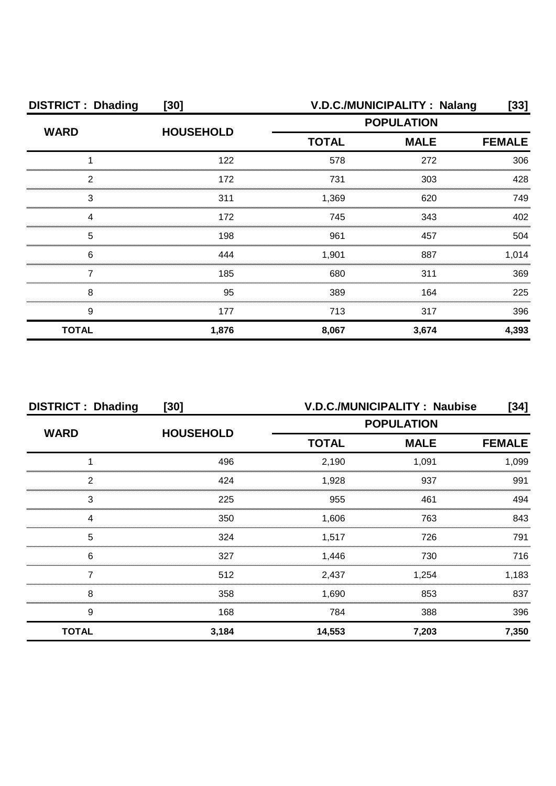| <b>DISTRICT: Dhading</b> | V.D.C./MUNICIPALITY: Nalang<br>$[30]$ |                   |             | [33]          |
|--------------------------|---------------------------------------|-------------------|-------------|---------------|
| <b>WARD</b>              | <b>HOUSEHOLD</b>                      | <b>POPULATION</b> |             |               |
|                          |                                       | <b>TOTAL</b>      | <b>MALE</b> | <b>FEMALE</b> |
|                          | 122                                   | 578               | 272         | 306           |
| っ                        | 172                                   | 731               | 303         | 428           |
| З                        | 311                                   | 1,369             | 620         | 749           |
|                          | 172                                   | 745               | 343         | 402           |
| 5                        | 198                                   | 961               | 457         | 504           |
| 6                        | 444                                   | 1,901             | 887         | 1,014         |
|                          | 185                                   | 680               | 311         | 369           |
| 8                        | 95                                    | 389               | 164         | 225           |
| 9                        | 177                                   | 713               | 317         | 396           |
| <b>TOTAL</b>             | 1,876                                 | 8,067             | 3,674       | 4,393         |

| <b>DISTRICT: Dhading</b><br>$[30]$ |                  |                   | <b>V.D.C./MUNICIPALITY: Naubise</b> | [34]  |
|------------------------------------|------------------|-------------------|-------------------------------------|-------|
| <b>WARD</b>                        | <b>HOUSEHOLD</b> | <b>POPULATION</b> |                                     |       |
|                                    |                  | <b>TOTAL</b>      | <b>FEMALE</b>                       |       |
|                                    | 496              | 2,190             | 1,091                               | 1,099 |
| 2                                  | 424              | 1,928             | 937                                 | 991   |
| 3                                  | 225              | 955               | 461                                 | 494   |
|                                    | 350              | 1.606             | 763                                 | 843   |
| 5                                  | 324              | 1.517             | 726                                 | 791   |
| 6                                  | 327              | 1,446             | 730                                 | 716   |
|                                    | 512              | 2,437             | 1,254                               | 1,183 |
| 8                                  | 358              | 1,690             | 853                                 | 837   |
| 9                                  | 168              | 784               | 388                                 | 396   |
| <b>TOTAL</b>                       | 3,184            | 14,553            | 7,203                               | 7,350 |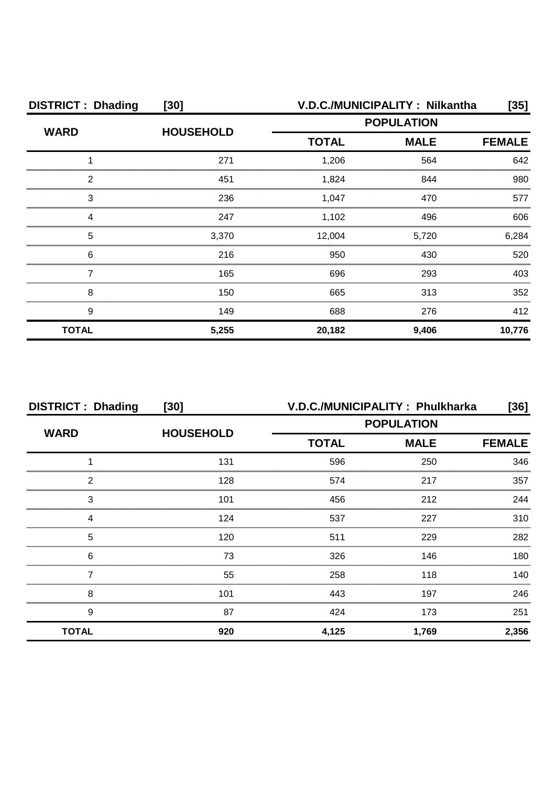| <b>DISTRICT: Dhading</b> | $[30]$           | V.D.C./MUNICIPALITY: Nilkantha | [35]          |        |
|--------------------------|------------------|--------------------------------|---------------|--------|
| <b>WARD</b>              | <b>HOUSEHOLD</b> | <b>POPULATION</b>              |               |        |
|                          |                  | <b>MALE</b><br><b>TOTAL</b>    | <b>FEMALE</b> |        |
|                          | 271              | 1,206                          | 564           | 642    |
| っ                        | 451              | 1,824                          | 844           | 980    |
| 3                        | 236              | 1,047                          | 470           | 577    |
|                          | 247              | 1,102                          | 496           | 606    |
| 5                        | 3,370            | 12,004                         | 5,720         | 6,284  |
| 6                        | 216              | 950                            | 430           | 520    |
|                          | 165              | 696                            | 293           | 403    |
| 8                        | 150              | 665                            | 313           | 352    |
| 9                        | 149              | 688                            | 276           | 412    |
| <b>TOTAL</b>             | 5,255            | 20,182                         | 9,406         | 10,776 |

| <b>DISTRICT: Dhading</b> | $[30]$           | V.D.C./MUNICIPALITY: Phulkharka |             | [36]          |
|--------------------------|------------------|---------------------------------|-------------|---------------|
|                          | <b>HOUSEHOLD</b> | <b>POPULATION</b>               |             |               |
| <b>WARD</b>              |                  | <b>TOTAL</b>                    | <b>MALE</b> | <b>FEMALE</b> |
|                          | 131              | 596                             | 250         | 346           |
| っ                        | 128              | 574                             | 217         | 357           |
| 3                        | 101              | 456                             | 212         | 244           |
|                          | 124              | 537                             | 227         | 310           |
| 5                        | 120              | 511                             | 229         | 282           |
| 6                        | 73               | 326                             | 146         | 180           |
|                          | 55               | 258                             | 118         | 140           |
| 8                        | 101              | 443                             | 197         | 246           |
| 9                        | 87               | 424                             | 173         | 251           |
| <b>TOTAL</b>             | 920              | 4,125                           | 1,769       | 2,356         |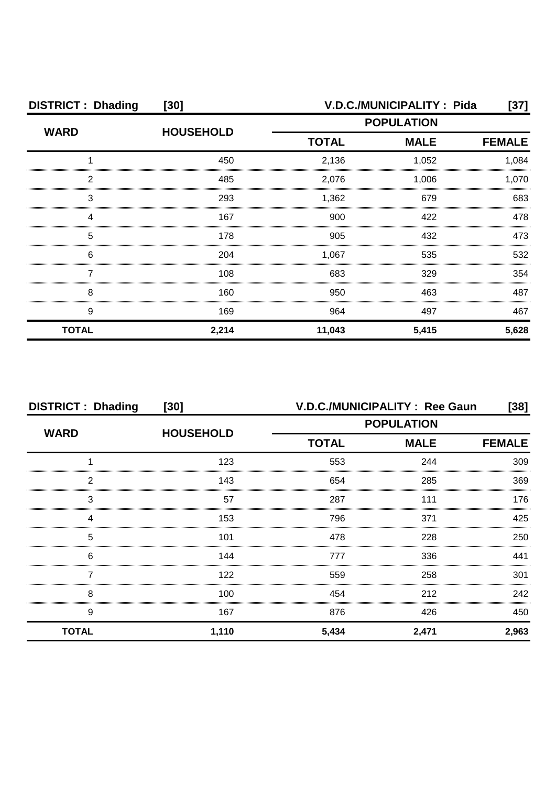| <b>DISTRICT: Dhading</b><br>$[30]$ |                  |                   | V.D.C./MUNICIPALITY: Pida | [37]          |
|------------------------------------|------------------|-------------------|---------------------------|---------------|
| <b>WARD</b>                        | <b>HOUSEHOLD</b> | <b>POPULATION</b> |                           |               |
|                                    |                  | <b>TOTAL</b>      | <b>MALE</b>               | <b>FEMALE</b> |
|                                    | 450              | 2,136             | 1,052                     | 1,084         |
| 2                                  | 485              | 2,076             | 1,006                     | 1,070         |
| 3                                  | 293              | 1,362             | 679                       | 683           |
| Δ                                  | 167              | 900               | 422                       | 478           |
| 5                                  | 178              | 905               | 432                       | 473           |
| 6                                  | 204              | 1,067             | 535                       | 532           |
|                                    | 108              | 683               | 329                       | 354           |
| 8                                  | 160              | 950               | 463                       | 487           |
| 9                                  | 169              | 964               | 497                       | 467           |
| <b>TOTAL</b>                       | 2,214            | 11,043            | 5,415                     | 5,628         |

| <b>DISTRICT: Dhading</b> | $[30]$           |                   | V.D.C./MUNICIPALITY : Ree Gaun | [38]          |
|--------------------------|------------------|-------------------|--------------------------------|---------------|
| <b>WARD</b>              | <b>HOUSEHOLD</b> | <b>POPULATION</b> |                                |               |
|                          |                  | <b>TOTAL</b>      | <b>MALE</b>                    | <b>FEMALE</b> |
|                          | 123              | 553               | 244                            | 309           |
| っ                        | 143              | 654               | 285                            | 369           |
| 3                        | 57               | 287               | 111                            | 176           |
|                          | 153              | 796               | 371                            | 425           |
| 5                        | 101              | 478               | 228                            | 250           |
| 6                        | 144              | 777               | 336                            | 441           |
|                          | 122              | 559               | 258                            | 301           |
| 8                        | 100              | 454               | 212                            | 242           |
| 9                        | 167              | 876               | 426                            | 450           |
| <b>TOTAL</b>             | 1,110            | 5,434             | 2,471                          | 2,963         |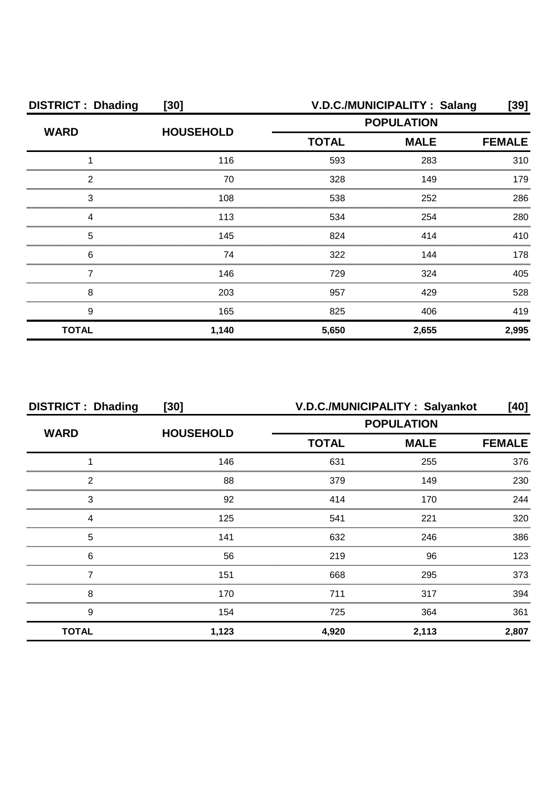| <b>DISTRICT: Dhading</b> | $[30]$           | V.D.C./MUNICIPALITY: Salang<br>[39] |                              |       |  |
|--------------------------|------------------|-------------------------------------|------------------------------|-------|--|
| <b>WARD</b>              | <b>HOUSEHOLD</b> | <b>POPULATION</b>                   |                              |       |  |
|                          |                  | <b>TOTAL</b>                        | <b>MALE</b><br><b>FEMALE</b> |       |  |
|                          | 116              | 593                                 | 283                          | 310   |  |
| っ                        | 70               | 328                                 | 149                          | 179   |  |
| З                        | 108              | 538                                 | 252                          | 286   |  |
|                          | 113              | 534                                 | 254                          | 280   |  |
| 5                        | 145              | 824                                 | 414                          | 410   |  |
| 6                        | 74               | 322                                 | 144                          | 178   |  |
|                          | 146              | 729                                 | 324                          | 405   |  |
| 8                        | 203              | 957                                 | 429                          | 528   |  |
| 9                        | 165              | 825                                 | 406                          | 419   |  |
| <b>TOTAL</b>             | 1,140            | 5,650                               | 2,655                        | 2,995 |  |

| <b>DISTRICT: Dhading</b> | $[30]$           |              | V.D.C./MUNICIPALITY: Salyankot | [40]  |  |
|--------------------------|------------------|--------------|--------------------------------|-------|--|
| <b>WARD</b>              | <b>HOUSEHOLD</b> |              | <b>POPULATION</b>              |       |  |
|                          |                  | <b>TOTAL</b> | <b>MALE</b>                    |       |  |
|                          | 146              | 631          | 255                            | 376   |  |
| 2                        | 88               | 379          | 149                            | 230   |  |
| 3                        | 92               | 414          | 170                            | 244   |  |
| Δ                        | 125              | 541          | 221                            | 320   |  |
| 5                        | 141              | 632          | 246                            | 386   |  |
| 6                        | 56               | 219          | 96                             | 123   |  |
|                          | 151              | 668          | 295                            | 373   |  |
| 8                        | 170              | 711          | 317                            | 394   |  |
| 9                        | 154              | 725          | 364                            | 361   |  |
| <b>TOTAL</b>             | 1,123            | 4,920        | 2,113                          | 2,807 |  |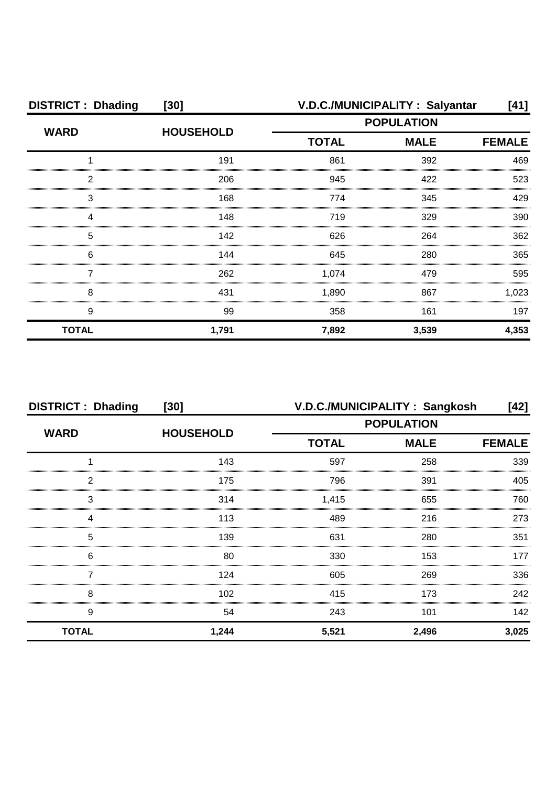| <b>DISTRICT: Dhading</b> | $[30]$           | V.D.C./MUNICIPALITY: Salyantar |                              | [41]  |  |
|--------------------------|------------------|--------------------------------|------------------------------|-------|--|
| <b>WARD</b>              | <b>HOUSEHOLD</b> | <b>POPULATION</b>              |                              |       |  |
|                          |                  | <b>TOTAL</b>                   | <b>MALE</b><br><b>FEMALE</b> |       |  |
|                          | 191              | 861                            | 392                          | 469   |  |
| っ                        | 206              | 945                            | 422                          | 523   |  |
| 3                        | 168              | 774                            | 345                          | 429   |  |
|                          | 148              | 719                            | 329                          | 390   |  |
| 5                        | 142              | 626                            | 264                          | 362   |  |
| 6                        | 144              | 645                            | 280                          | 365   |  |
|                          | 262              | 1,074                          | 479                          | 595   |  |
| 8                        | 431              | 1,890                          | 867                          | 1,023 |  |
| 9                        | 99               | 358                            | 161                          | 197   |  |
| <b>TOTAL</b>             | 1,791            | 7,892                          | 3,539                        | 4,353 |  |

| <b>DISTRICT: Dhading</b> | $[30]$           | V.D.C./MUNICIPALITY: Sangkosh |             | [42]          |
|--------------------------|------------------|-------------------------------|-------------|---------------|
| <b>WARD</b>              | <b>HOUSEHOLD</b> | <b>POPULATION</b>             |             |               |
|                          |                  | <b>TOTAL</b>                  | <b>MALE</b> | <b>FEMALE</b> |
|                          | 143              | 597                           | 258         | 339           |
| っ                        | 175              | 796                           | 391         | 405           |
| 3                        | 314              | 1,415                         | 655         | 760           |
|                          | 113              | 489                           | 216         | 273           |
| 5                        | 139              | 631                           | 280         | 351           |
| 6                        | 80               | 330                           | 153         | 177           |
|                          | 124              | 605                           | 269         | 336           |
| 8                        | 102              | 415                           | 173         | 242           |
| 9                        | 54               | 243                           | 101         | 142           |
| <b>TOTAL</b>             | 1,244            | 5,521                         | 2,496       | 3,025         |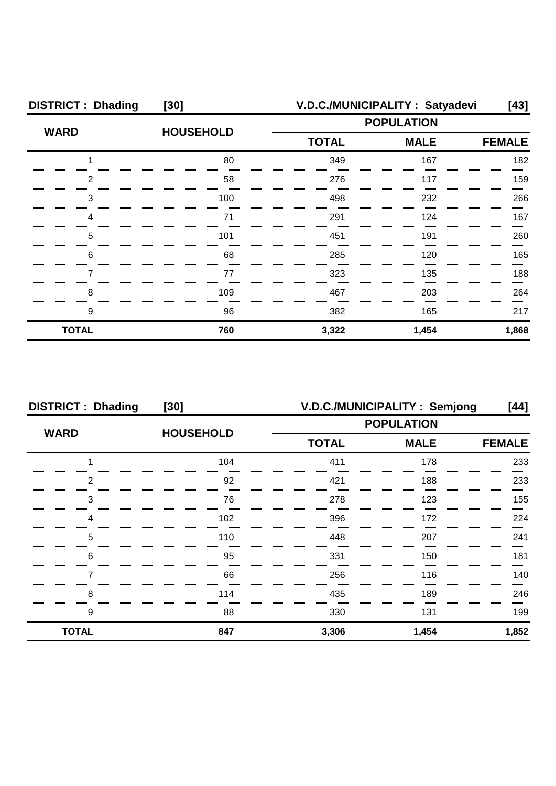| <b>DISTRICT: Dhading</b> | $[30]$           | V.D.C./MUNICIPALITY: Satyadevi |             |       |
|--------------------------|------------------|--------------------------------|-------------|-------|
| <b>WARD</b>              | <b>HOUSEHOLD</b> | <b>POPULATION</b>              |             |       |
|                          |                  | <b>TOTAL</b>                   | <b>MALE</b> |       |
|                          | 80               | 349                            | 167         | 182   |
| 2                        | 58               | 276                            | 117         | 159   |
| З                        | 100              | 498                            | 232         | 266   |
|                          | 71               | 291                            | 124         | 167   |
| 5                        | 101              | 451                            | 191         | 260   |
| 6                        | 68               | 285                            | 120         | 165   |
|                          | 77               | 323                            | 135         | 188   |
| 8                        | 109              | 467                            | 203         | 264   |
| 9                        | 96               | 382                            | 165         | 217   |
| <b>TOTAL</b>             | 760              | 3,322                          | 1,454       | 1,868 |

| <b>DISTRICT: Dhading</b> | $[30]$           | V.D.C./MUNICIPALITY: Semjong<br>[44] |                              |       |
|--------------------------|------------------|--------------------------------------|------------------------------|-------|
| <b>WARD</b>              | <b>HOUSEHOLD</b> | <b>POPULATION</b>                    |                              |       |
|                          |                  | <b>TOTAL</b>                         | <b>MALE</b><br><b>FEMALE</b> |       |
|                          | 104              | 411                                  | 178                          | 233   |
| 2                        | 92               | 421                                  | 188                          | 233   |
| 3                        | 76               | 278                                  | 123                          | 155   |
| 4                        | 102              | 396                                  | 172                          | 224   |
| 5                        | 110              | 448                                  | 207                          | 241   |
| 6                        | 95               | 331                                  | 150                          | 181   |
|                          | 66               | 256                                  | 116                          | 140.  |
| 8                        | 114              | 435                                  | 189                          | 246   |
| 9                        | 88               | 330                                  | 131                          | 199   |
| <b>TOTAL</b>             | 847              | 3,306                                | 1,454                        | 1,852 |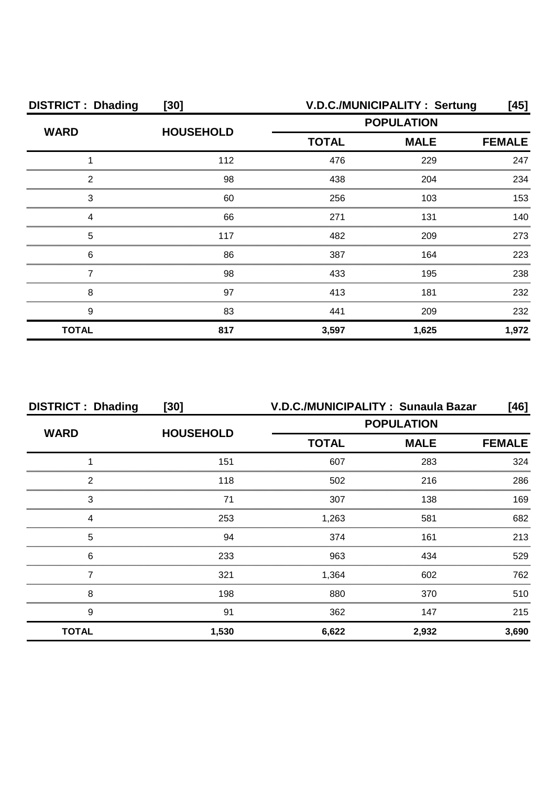| <b>DISTRICT: Dhading</b> | $[30]$           | V.D.C./MUNICIPALITY: Sertung<br>[45] |                              |       |
|--------------------------|------------------|--------------------------------------|------------------------------|-------|
| <b>WARD</b>              | <b>HOUSEHOLD</b> |                                      | <b>POPULATION</b>            |       |
|                          |                  | <b>TOTAL</b>                         | <b>MALE</b><br><b>FEMALE</b> |       |
|                          | 112              | 476                                  | 229                          | 247   |
| 2                        | 98               | 438                                  | 204                          | 234   |
| З                        | 60               | 256                                  | 103                          | 153   |
|                          | 66               | 271                                  | 131                          | 140   |
| 5                        | 117              | 482                                  | 209                          | 273   |
| 6                        | 86               | 387                                  | 164                          | 223   |
|                          | 98               | 433                                  | 195                          | 238   |
| 8                        | 97               | 413                                  | 181                          | 232   |
| 9                        | 83               | 441                                  | 209                          | 232   |
| <b>TOTAL</b>             | 817              | 3,597                                | 1,625                        | 1,972 |

| <b>DISTRICT: Dhading</b> | $[30]$           |              | V.D.C./MUNICIPALITY: Sunaula Bazar | [46]          |  |
|--------------------------|------------------|--------------|------------------------------------|---------------|--|
|                          | <b>HOUSEHOLD</b> |              | <b>POPULATION</b>                  |               |  |
| <b>WARD</b>              |                  | <b>TOTAL</b> | <b>MALE</b>                        | <b>FEMALE</b> |  |
|                          | 151              | 607          | 283                                | 324           |  |
| 2                        | 118              | 502          | 216                                | 286           |  |
| 3                        |                  | 307          | 138                                | 169           |  |
| Δ                        | 253              | 1,263        | 581                                | 682           |  |
| 5                        | 94               | 374          | 161                                | 213           |  |
| 6                        | 233              | 963          | 434                                | 529           |  |
|                          | 321              | 1,364        | 602                                | 762           |  |
| 8                        | 198              | 880          | 370                                | 510           |  |
| 9                        | 91               | 362          | 147                                | 215           |  |
| <b>TOTAL</b>             | 1,530            | 6,622        | 2,932                              | 3,690         |  |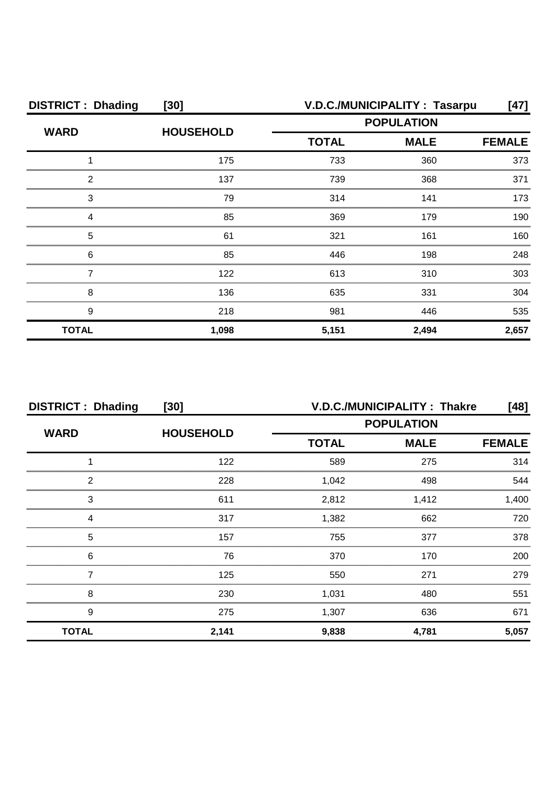| <b>DISTRICT: Dhading</b> | $[30]$           |                   | V.D.C./MUNICIPALITY: Tasarpu | [47]          |
|--------------------------|------------------|-------------------|------------------------------|---------------|
| <b>WARD</b>              | <b>HOUSEHOLD</b> | <b>POPULATION</b> |                              |               |
|                          |                  | <b>TOTAL</b>      | <b>MALE</b>                  | <b>FEMALE</b> |
|                          | 175              | 733               | 360                          | 373           |
| 2                        | 137              | 739               | 368                          | 371           |
| 3                        | 79               | 314               | 141                          | 173           |
|                          | 85               | 369               | 179                          | 190           |
| 5                        | 61               | 321               | 161                          | 160           |
| 6                        | 85               | 446               | 198                          | 248           |
|                          | 122              | 613               | 310                          | 303           |
| 8                        | 136              | 635               | 331                          | 304           |
| 9                        | 218              | 981               | 446                          | 535           |
| <b>TOTAL</b>             | 1,098            | 5,151             | 2,494                        | 2,657         |

| <b>DISTRICT: Dhading</b> | $[30]$           | <b>V.D.C./MUNICIPALITY: Thakre</b><br>[48] |                              |       |  |
|--------------------------|------------------|--------------------------------------------|------------------------------|-------|--|
| <b>WARD</b>              | <b>HOUSEHOLD</b> | <b>POPULATION</b>                          |                              |       |  |
|                          |                  | <b>TOTAL</b>                               | <b>MALE</b><br><b>FEMALE</b> |       |  |
|                          | 122              | 589                                        | 275                          | 314   |  |
| っ                        | 228              | 1,042                                      | 498                          | 544   |  |
| 3                        | 611              | 2,812                                      | 1,412                        | 1,400 |  |
|                          | 317              | 1,382                                      | 662                          | 720   |  |
| 5                        | 157              | 755                                        | 377                          | 378   |  |
| 6                        | 76               | 370                                        | 170                          | 200   |  |
|                          | 125              | 550                                        | 271                          | 279   |  |
| 8                        | 230              | 1,031                                      | 480                          | 551   |  |
| 9                        | 275              | 1,307                                      | 636                          | 671   |  |
| <b>TOTAL</b>             | 2,141            | 9,838                                      | 4,781                        | 5,057 |  |